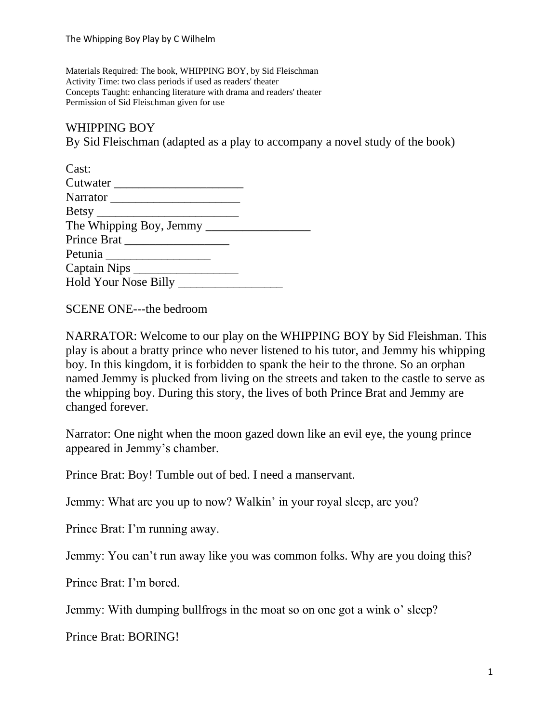Materials Required: The book, WHIPPING BOY, by Sid Fleischman Activity Time: two class periods if used as readers' theater Concepts Taught: enhancing literature with drama and readers' theater Permission of Sid Fleischman given for use

## WHIPPING BOY

By Sid Fleischman (adapted as a play to accompany a novel study of the book)

| Cast:                   |  |
|-------------------------|--|
| Cutwater                |  |
|                         |  |
|                         |  |
| The Whipping Boy, Jemmy |  |
| Prince Brat             |  |
|                         |  |
|                         |  |
| Hold Your Nose Billy    |  |

SCENE ONE---the bedroom

NARRATOR: Welcome to our play on the WHIPPING BOY by Sid Fleishman. This play is about a bratty prince who never listened to his tutor, and Jemmy his whipping boy. In this kingdom, it is forbidden to spank the heir to the throne. So an orphan named Jemmy is plucked from living on the streets and taken to the castle to serve as the whipping boy. During this story, the lives of both Prince Brat and Jemmy are changed forever.

Narrator: One night when the moon gazed down like an evil eye, the young prince appeared in Jemmy's chamber.

Prince Brat: Boy! Tumble out of bed. I need a manservant.

Jemmy: What are you up to now? Walkin' in your royal sleep, are you?

Prince Brat: I'm running away.

Jemmy: You can't run away like you was common folks. Why are you doing this?

Prince Brat: I'm bored.

Jemmy: With dumping bullfrogs in the moat so on one got a wink o' sleep?

Prince Brat: BORING!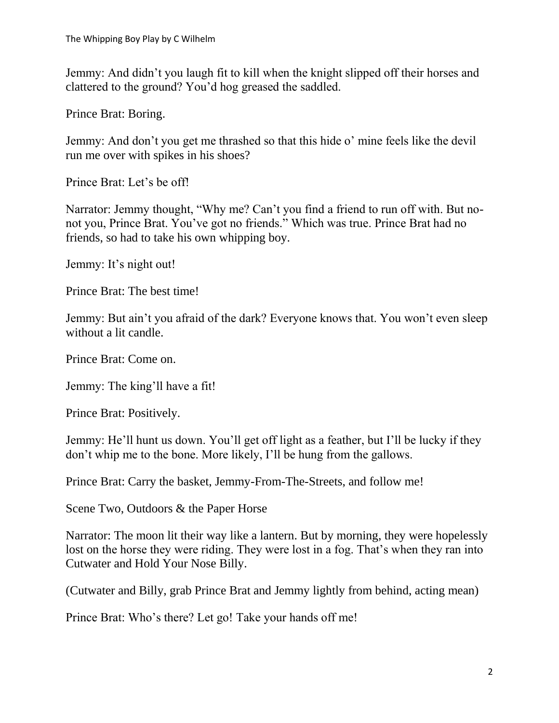Jemmy: And didn't you laugh fit to kill when the knight slipped off their horses and clattered to the ground? You'd hog greased the saddled.

Prince Brat: Boring.

Jemmy: And don't you get me thrashed so that this hide o' mine feels like the devil run me over with spikes in his shoes?

Prince Brat: Let's be off!

Narrator: Jemmy thought, "Why me? Can't you find a friend to run off with. But nonot you, Prince Brat. You've got no friends." Which was true. Prince Brat had no friends, so had to take his own whipping boy.

Jemmy: It's night out!

Prince Brat: The best time!

Jemmy: But ain't you afraid of the dark? Everyone knows that. You won't even sleep without a lit candle.

Prince Brat: Come on.

Jemmy: The king'll have a fit!

Prince Brat: Positively.

Jemmy: He'll hunt us down. You'll get off light as a feather, but I'll be lucky if they don't whip me to the bone. More likely, I'll be hung from the gallows.

Prince Brat: Carry the basket, Jemmy-From-The-Streets, and follow me!

Scene Two, Outdoors & the Paper Horse

Narrator: The moon lit their way like a lantern. But by morning, they were hopelessly lost on the horse they were riding. They were lost in a fog. That's when they ran into Cutwater and Hold Your Nose Billy.

(Cutwater and Billy, grab Prince Brat and Jemmy lightly from behind, acting mean)

Prince Brat: Who's there? Let go! Take your hands off me!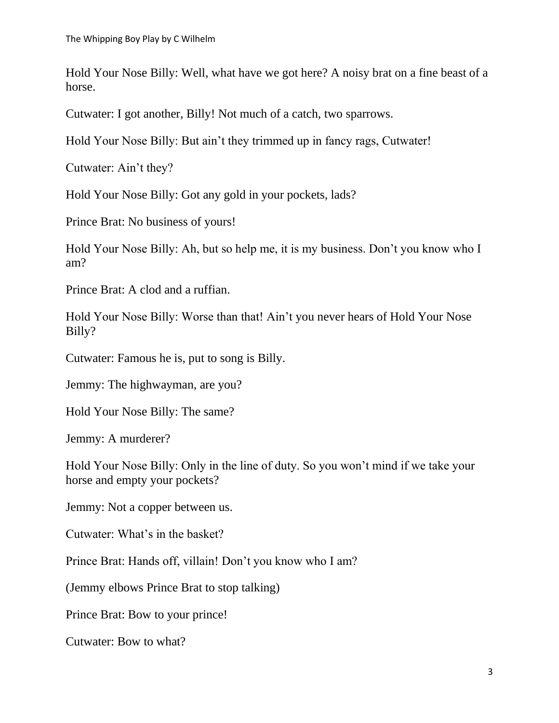Hold Your Nose Billy: Well, what have we got here? A noisy brat on a fine beast of a horse.

Cutwater: I got another, Billy! Not much of a catch, two sparrows.

Hold Your Nose Billy: But ain't they trimmed up in fancy rags, Cutwater!

Cutwater: Ain't they?

Hold Your Nose Billy: Got any gold in your pockets, lads?

Prince Brat: No business of yours!

Hold Your Nose Billy: Ah, but so help me, it is my business. Don't you know who I am?

Prince Brat: A clod and a ruffian.

Hold Your Nose Billy: Worse than that! Ain't you never hears of Hold Your Nose Billy?

Cutwater: Famous he is, put to song is Billy.

Jemmy: The highwayman, are you?

Hold Your Nose Billy: The same?

Jemmy: A murderer?

Hold Your Nose Billy: Only in the line of duty. So you won't mind if we take your horse and empty your pockets?

Jemmy: Not a copper between us.

Cutwater: What's in the basket?

Prince Brat: Hands off, villain! Don't you know who I am?

(Jemmy elbows Prince Brat to stop talking)

Prince Brat: Bow to your prince!

Cutwater: Bow to what?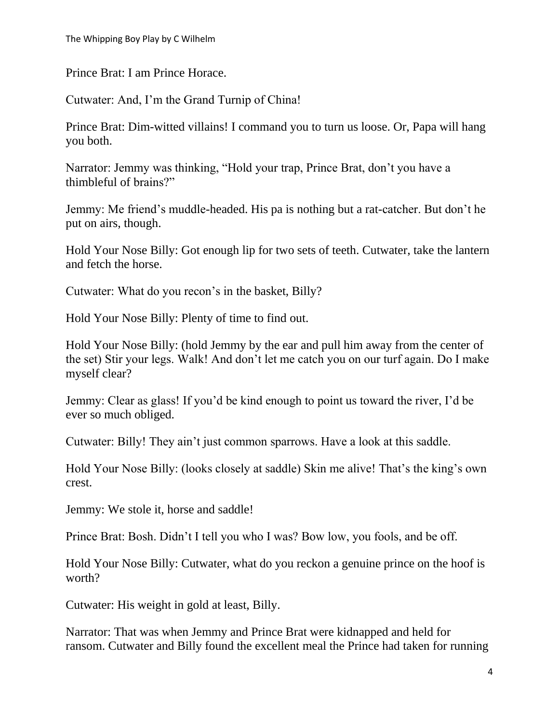The Whipping Boy Play by C Wilhelm

Prince Brat: I am Prince Horace.

Cutwater: And, I'm the Grand Turnip of China!

Prince Brat: Dim-witted villains! I command you to turn us loose. Or, Papa will hang you both.

Narrator: Jemmy was thinking, "Hold your trap, Prince Brat, don't you have a thimbleful of brains?"

Jemmy: Me friend's muddle-headed. His pa is nothing but a rat-catcher. But don't he put on airs, though.

Hold Your Nose Billy: Got enough lip for two sets of teeth. Cutwater, take the lantern and fetch the horse.

Cutwater: What do you recon's in the basket, Billy?

Hold Your Nose Billy: Plenty of time to find out.

Hold Your Nose Billy: (hold Jemmy by the ear and pull him away from the center of the set) Stir your legs. Walk! And don't let me catch you on our turf again. Do I make myself clear?

Jemmy: Clear as glass! If you'd be kind enough to point us toward the river, I'd be ever so much obliged.

Cutwater: Billy! They ain't just common sparrows. Have a look at this saddle.

Hold Your Nose Billy: (looks closely at saddle) Skin me alive! That's the king's own crest.

Jemmy: We stole it, horse and saddle!

Prince Brat: Bosh. Didn't I tell you who I was? Bow low, you fools, and be off.

Hold Your Nose Billy: Cutwater, what do you reckon a genuine prince on the hoof is worth?

Cutwater: His weight in gold at least, Billy.

Narrator: That was when Jemmy and Prince Brat were kidnapped and held for ransom. Cutwater and Billy found the excellent meal the Prince had taken for running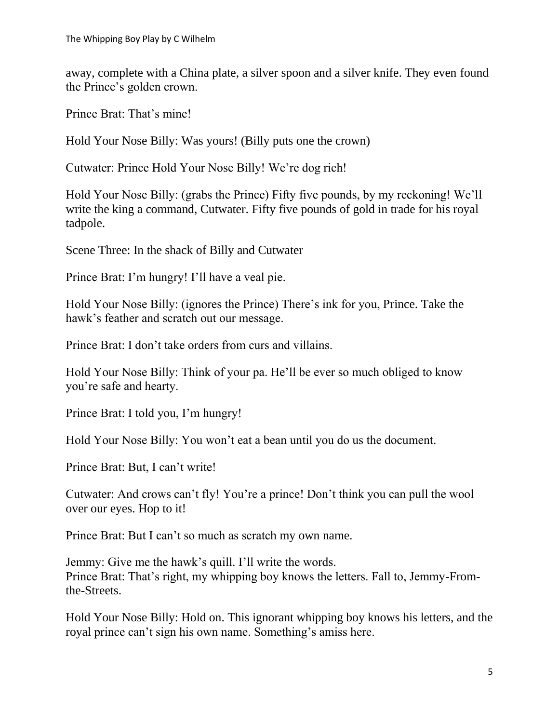away, complete with a China plate, a silver spoon and a silver knife. They even found the Prince's golden crown.

Prince Brat: That's mine!

Hold Your Nose Billy: Was yours! (Billy puts one the crown)

Cutwater: Prince Hold Your Nose Billy! We're dog rich!

Hold Your Nose Billy: (grabs the Prince) Fifty five pounds, by my reckoning! We'll write the king a command, Cutwater. Fifty five pounds of gold in trade for his royal tadpole.

Scene Three: In the shack of Billy and Cutwater

Prince Brat: I'm hungry! I'll have a veal pie.

Hold Your Nose Billy: (ignores the Prince) There's ink for you, Prince. Take the hawk's feather and scratch out our message.

Prince Brat: I don't take orders from curs and villains.

Hold Your Nose Billy: Think of your pa. He'll be ever so much obliged to know you're safe and hearty.

Prince Brat: I told you, I'm hungry!

Hold Your Nose Billy: You won't eat a bean until you do us the document.

Prince Brat: But, I can't write!

Cutwater: And crows can't fly! You're a prince! Don't think you can pull the wool over our eyes. Hop to it!

Prince Brat: But I can't so much as scratch my own name.

Jemmy: Give me the hawk's quill. I'll write the words. Prince Brat: That's right, my whipping boy knows the letters. Fall to, Jemmy-Fromthe-Streets.

Hold Your Nose Billy: Hold on. This ignorant whipping boy knows his letters, and the royal prince can't sign his own name. Something's amiss here.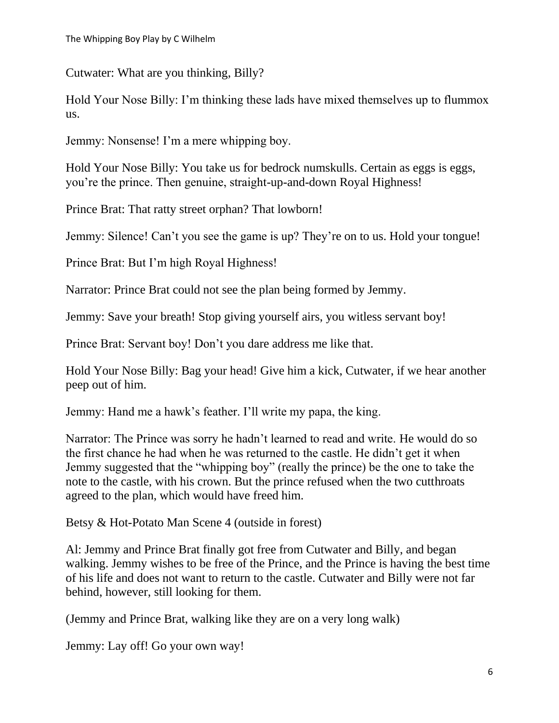Cutwater: What are you thinking, Billy?

Hold Your Nose Billy: I'm thinking these lads have mixed themselves up to flummox us.

Jemmy: Nonsense! I'm a mere whipping boy.

Hold Your Nose Billy: You take us for bedrock numskulls. Certain as eggs is eggs, you're the prince. Then genuine, straight-up-and-down Royal Highness!

Prince Brat: That ratty street orphan? That lowborn!

Jemmy: Silence! Can't you see the game is up? They're on to us. Hold your tongue!

Prince Brat: But I'm high Royal Highness!

Narrator: Prince Brat could not see the plan being formed by Jemmy.

Jemmy: Save your breath! Stop giving yourself airs, you witless servant boy!

Prince Brat: Servant boy! Don't you dare address me like that.

Hold Your Nose Billy: Bag your head! Give him a kick, Cutwater, if we hear another peep out of him.

Jemmy: Hand me a hawk's feather. I'll write my papa, the king.

Narrator: The Prince was sorry he hadn't learned to read and write. He would do so the first chance he had when he was returned to the castle. He didn't get it when Jemmy suggested that the "whipping boy" (really the prince) be the one to take the note to the castle, with his crown. But the prince refused when the two cutthroats agreed to the plan, which would have freed him.

Betsy & Hot-Potato Man Scene 4 (outside in forest)

Al: Jemmy and Prince Brat finally got free from Cutwater and Billy, and began walking. Jemmy wishes to be free of the Prince, and the Prince is having the best time of his life and does not want to return to the castle. Cutwater and Billy were not far behind, however, still looking for them.

(Jemmy and Prince Brat, walking like they are on a very long walk)

Jemmy: Lay off! Go your own way!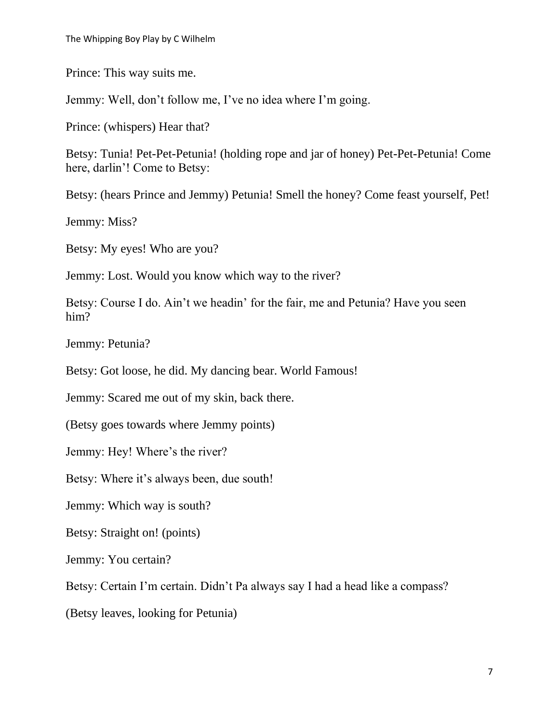Prince: This way suits me.

Jemmy: Well, don't follow me, I've no idea where I'm going.

Prince: (whispers) Hear that?

Betsy: Tunia! Pet-Pet-Petunia! (holding rope and jar of honey) Pet-Pet-Petunia! Come here, darlin'! Come to Betsy:

Betsy: (hears Prince and Jemmy) Petunia! Smell the honey? Come feast yourself, Pet!

Jemmy: Miss?

Betsy: My eyes! Who are you?

Jemmy: Lost. Would you know which way to the river?

Betsy: Course I do. Ain't we headin' for the fair, me and Petunia? Have you seen him?

Jemmy: Petunia?

Betsy: Got loose, he did. My dancing bear. World Famous!

Jemmy: Scared me out of my skin, back there.

(Betsy goes towards where Jemmy points)

Jemmy: Hey! Where's the river?

Betsy: Where it's always been, due south!

Jemmy: Which way is south?

Betsy: Straight on! (points)

Jemmy: You certain?

Betsy: Certain I'm certain. Didn't Pa always say I had a head like a compass?

(Betsy leaves, looking for Petunia)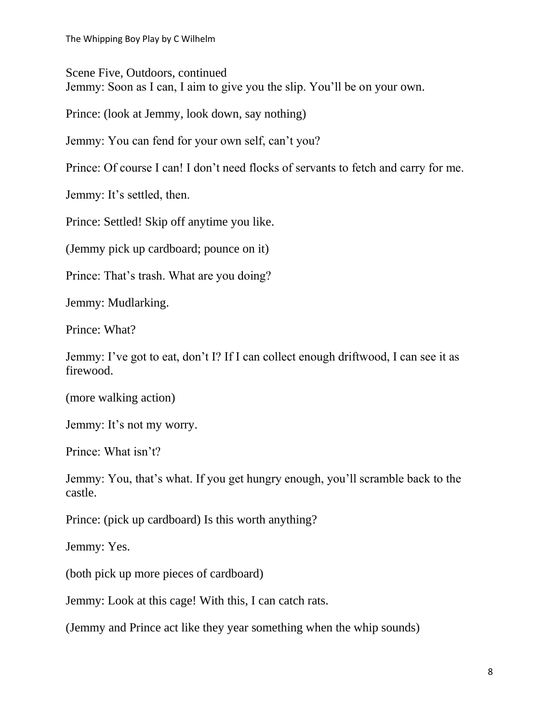Scene Five, Outdoors, continued Jemmy: Soon as I can, I aim to give you the slip. You'll be on your own.

Prince: (look at Jemmy, look down, say nothing)

Jemmy: You can fend for your own self, can't you?

Prince: Of course I can! I don't need flocks of servants to fetch and carry for me.

Jemmy: It's settled, then.

Prince: Settled! Skip off anytime you like.

(Jemmy pick up cardboard; pounce on it)

Prince: That's trash. What are you doing?

Jemmy: Mudlarking.

Prince: What?

Jemmy: I've got to eat, don't I? If I can collect enough driftwood, I can see it as firewood.

(more walking action)

Jemmy: It's not my worry.

Prince: What isn't?

Jemmy: You, that's what. If you get hungry enough, you'll scramble back to the castle.

Prince: (pick up cardboard) Is this worth anything?

Jemmy: Yes.

(both pick up more pieces of cardboard)

Jemmy: Look at this cage! With this, I can catch rats.

(Jemmy and Prince act like they year something when the whip sounds)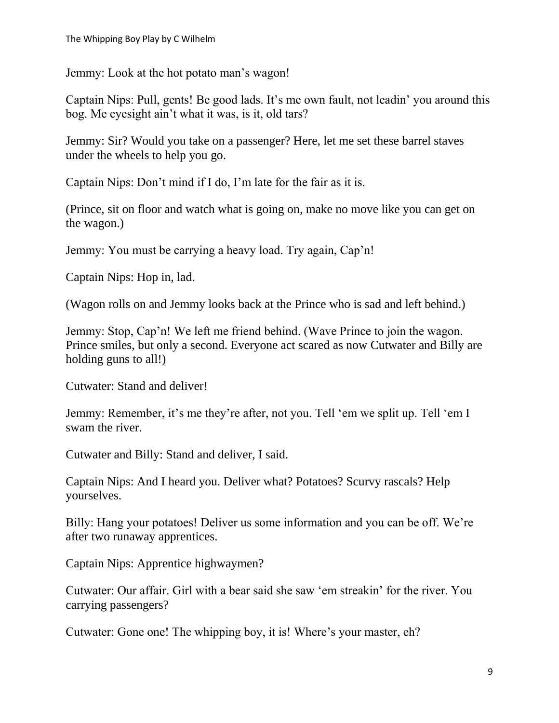Jemmy: Look at the hot potato man's wagon!

Captain Nips: Pull, gents! Be good lads. It's me own fault, not leadin' you around this bog. Me eyesight ain't what it was, is it, old tars?

Jemmy: Sir? Would you take on a passenger? Here, let me set these barrel staves under the wheels to help you go.

Captain Nips: Don't mind if I do, I'm late for the fair as it is.

(Prince, sit on floor and watch what is going on, make no move like you can get on the wagon.)

Jemmy: You must be carrying a heavy load. Try again, Cap'n!

Captain Nips: Hop in, lad.

(Wagon rolls on and Jemmy looks back at the Prince who is sad and left behind.)

Jemmy: Stop, Cap'n! We left me friend behind. (Wave Prince to join the wagon. Prince smiles, but only a second. Everyone act scared as now Cutwater and Billy are holding guns to all!)

Cutwater: Stand and deliver!

Jemmy: Remember, it's me they're after, not you. Tell 'em we split up. Tell 'em I swam the river.

Cutwater and Billy: Stand and deliver, I said.

Captain Nips: And I heard you. Deliver what? Potatoes? Scurvy rascals? Help yourselves.

Billy: Hang your potatoes! Deliver us some information and you can be off. We're after two runaway apprentices.

Captain Nips: Apprentice highwaymen?

Cutwater: Our affair. Girl with a bear said she saw 'em streakin' for the river. You carrying passengers?

Cutwater: Gone one! The whipping boy, it is! Where's your master, eh?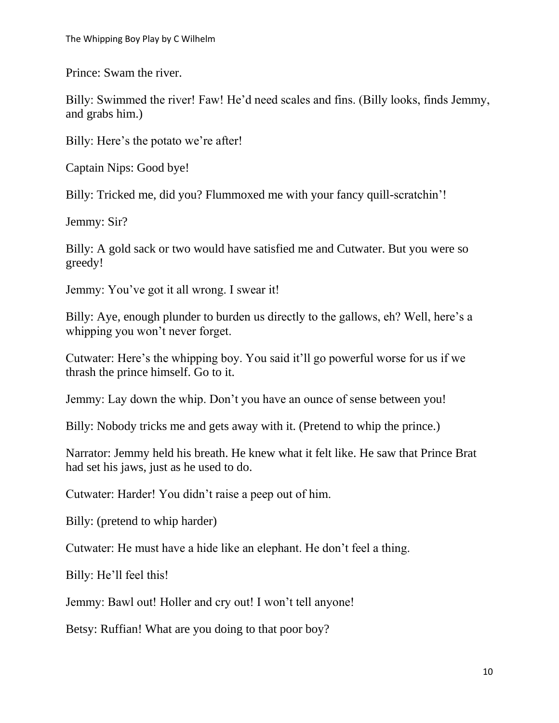Prince: Swam the river.

Billy: Swimmed the river! Faw! He'd need scales and fins. (Billy looks, finds Jemmy, and grabs him.)

Billy: Here's the potato we're after!

Captain Nips: Good bye!

Billy: Tricked me, did you? Flummoxed me with your fancy quill-scratchin'!

Jemmy: Sir?

Billy: A gold sack or two would have satisfied me and Cutwater. But you were so greedy!

Jemmy: You've got it all wrong. I swear it!

Billy: Aye, enough plunder to burden us directly to the gallows, eh? Well, here's a whipping you won't never forget.

Cutwater: Here's the whipping boy. You said it'll go powerful worse for us if we thrash the prince himself. Go to it.

Jemmy: Lay down the whip. Don't you have an ounce of sense between you!

Billy: Nobody tricks me and gets away with it. (Pretend to whip the prince.)

Narrator: Jemmy held his breath. He knew what it felt like. He saw that Prince Brat had set his jaws, just as he used to do.

Cutwater: Harder! You didn't raise a peep out of him.

Billy: (pretend to whip harder)

Cutwater: He must have a hide like an elephant. He don't feel a thing.

Billy: He'll feel this!

Jemmy: Bawl out! Holler and cry out! I won't tell anyone!

Betsy: Ruffian! What are you doing to that poor boy?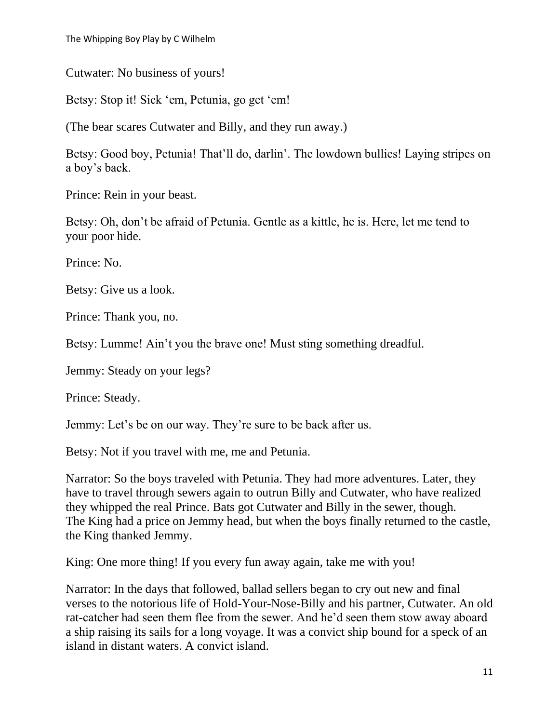Cutwater: No business of yours!

Betsy: Stop it! Sick 'em, Petunia, go get 'em!

(The bear scares Cutwater and Billy, and they run away.)

Betsy: Good boy, Petunia! That'll do, darlin'. The lowdown bullies! Laying stripes on a boy's back.

Prince: Rein in your beast.

Betsy: Oh, don't be afraid of Petunia. Gentle as a kittle, he is. Here, let me tend to your poor hide.

Prince: No.

Betsy: Give us a look.

Prince: Thank you, no.

Betsy: Lumme! Ain't you the brave one! Must sting something dreadful.

Jemmy: Steady on your legs?

Prince: Steady.

Jemmy: Let's be on our way. They're sure to be back after us.

Betsy: Not if you travel with me, me and Petunia.

Narrator: So the boys traveled with Petunia. They had more adventures. Later, they have to travel through sewers again to outrun Billy and Cutwater, who have realized they whipped the real Prince. Bats got Cutwater and Billy in the sewer, though. The King had a price on Jemmy head, but when the boys finally returned to the castle, the King thanked Jemmy.

King: One more thing! If you every fun away again, take me with you!

Narrator: In the days that followed, ballad sellers began to cry out new and final verses to the notorious life of Hold-Your-Nose-Billy and his partner, Cutwater. An old rat-catcher had seen them flee from the sewer. And he'd seen them stow away aboard a ship raising its sails for a long voyage. It was a convict ship bound for a speck of an island in distant waters. A convict island.